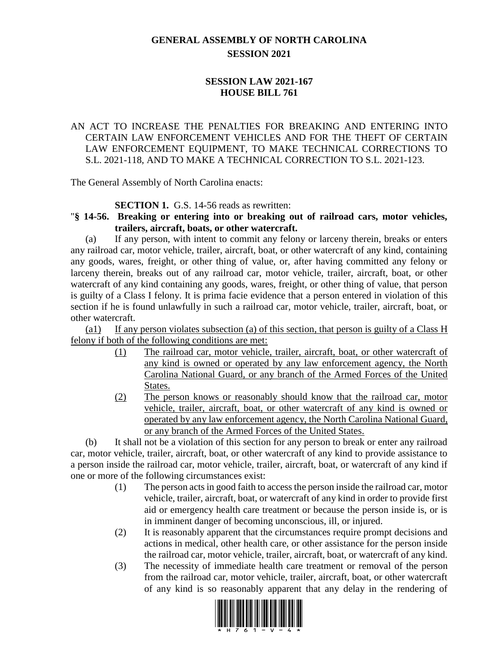## **GENERAL ASSEMBLY OF NORTH CAROLINA SESSION 2021**

## **SESSION LAW 2021-167 HOUSE BILL 761**

## AN ACT TO INCREASE THE PENALTIES FOR BREAKING AND ENTERING INTO CERTAIN LAW ENFORCEMENT VEHICLES AND FOR THE THEFT OF CERTAIN LAW ENFORCEMENT EQUIPMENT, TO MAKE TECHNICAL CORRECTIONS TO S.L. 2021-118, AND TO MAKE A TECHNICAL CORRECTION TO S.L. 2021-123.

The General Assembly of North Carolina enacts:

**SECTION 1.** G.S. 14-56 reads as rewritten:

"**§ 14-56. Breaking or entering into or breaking out of railroad cars, motor vehicles, trailers, aircraft, boats, or other watercraft.**

(a) If any person, with intent to commit any felony or larceny therein, breaks or enters any railroad car, motor vehicle, trailer, aircraft, boat, or other watercraft of any kind, containing any goods, wares, freight, or other thing of value, or, after having committed any felony or larceny therein, breaks out of any railroad car, motor vehicle, trailer, aircraft, boat, or other watercraft of any kind containing any goods, wares, freight, or other thing of value, that person is guilty of a Class I felony. It is prima facie evidence that a person entered in violation of this section if he is found unlawfully in such a railroad car, motor vehicle, trailer, aircraft, boat, or other watercraft.

(a1) If any person violates subsection (a) of this section, that person is guilty of a Class H felony if both of the following conditions are met:

- (1) The railroad car, motor vehicle, trailer, aircraft, boat, or other watercraft of any kind is owned or operated by any law enforcement agency, the North Carolina National Guard, or any branch of the Armed Forces of the United States.
- (2) The person knows or reasonably should know that the railroad car, motor vehicle, trailer, aircraft, boat, or other watercraft of any kind is owned or operated by any law enforcement agency, the North Carolina National Guard, or any branch of the Armed Forces of the United States.

(b) It shall not be a violation of this section for any person to break or enter any railroad car, motor vehicle, trailer, aircraft, boat, or other watercraft of any kind to provide assistance to a person inside the railroad car, motor vehicle, trailer, aircraft, boat, or watercraft of any kind if one or more of the following circumstances exist:

- (1) The person acts in good faith to access the person inside the railroad car, motor vehicle, trailer, aircraft, boat, or watercraft of any kind in order to provide first aid or emergency health care treatment or because the person inside is, or is in imminent danger of becoming unconscious, ill, or injured.
- (2) It is reasonably apparent that the circumstances require prompt decisions and actions in medical, other health care, or other assistance for the person inside the railroad car, motor vehicle, trailer, aircraft, boat, or watercraft of any kind.
- (3) The necessity of immediate health care treatment or removal of the person from the railroad car, motor vehicle, trailer, aircraft, boat, or other watercraft of any kind is so reasonably apparent that any delay in the rendering of

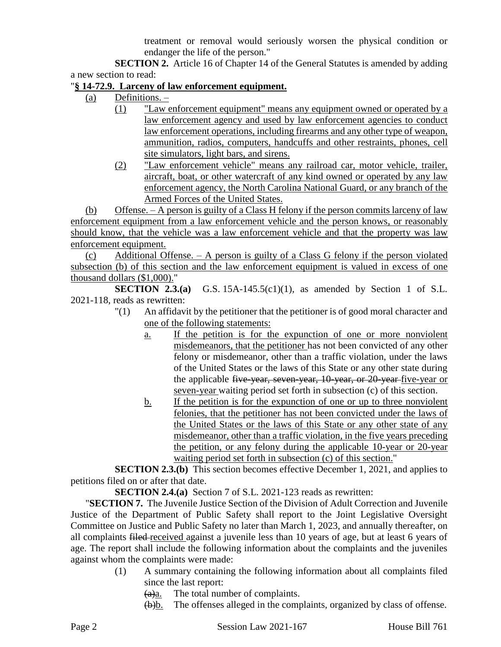treatment or removal would seriously worsen the physical condition or endanger the life of the person."

**SECTION 2.** Article 16 of Chapter 14 of the General Statutes is amended by adding a new section to read:

## "**§ 14-72.9. Larceny of law enforcement equipment.**

- (a) Definitions.
	- (1) "Law enforcement equipment" means any equipment owned or operated by a law enforcement agency and used by law enforcement agencies to conduct law enforcement operations, including firearms and any other type of weapon, ammunition, radios, computers, handcuffs and other restraints, phones, cell site simulators, light bars, and sirens.
	- (2) "Law enforcement vehicle" means any railroad car, motor vehicle, trailer, aircraft, boat, or other watercraft of any kind owned or operated by any law enforcement agency, the North Carolina National Guard, or any branch of the Armed Forces of the United States.

(b) Offense. – A person is guilty of a Class H felony if the person commits larceny of law enforcement equipment from a law enforcement vehicle and the person knows, or reasonably should know, that the vehicle was a law enforcement vehicle and that the property was law enforcement equipment.

(c) Additional Offense. – A person is guilty of a Class G felony if the person violated subsection (b) of this section and the law enforcement equipment is valued in excess of one thousand dollars (\$1,000)."

**SECTION 2.3.(a)** G.S. 15A-145.5(c1)(1), as amended by Section 1 of S.L. 2021-118, reads as rewritten:

- "(1) An affidavit by the petitioner that the petitioner is of good moral character and one of the following statements:
	- a. If the petition is for the expunction of one or more nonviolent misdemeanors, that the petitioner has not been convicted of any other felony or misdemeanor, other than a traffic violation, under the laws of the United States or the laws of this State or any other state during the applicable five-year, seven-year, 10-year, or 20-year five-year or seven-year waiting period set forth in subsection (c) of this section.
	- b. If the petition is for the expunction of one or up to three nonviolent felonies, that the petitioner has not been convicted under the laws of the United States or the laws of this State or any other state of any misdemeanor, other than a traffic violation, in the five years preceding the petition, or any felony during the applicable 10-year or 20-year waiting period set forth in subsection (c) of this section."

**SECTION 2.3.(b)** This section becomes effective December 1, 2021, and applies to petitions filed on or after that date.

**SECTION 2.4.(a)** Section 7 of S.L. 2021-123 reads as rewritten:

"**SECTION 7.** The Juvenile Justice Section of the Division of Adult Correction and Juvenile Justice of the Department of Public Safety shall report to the Joint Legislative Oversight Committee on Justice and Public Safety no later than March 1, 2023, and annually thereafter, on all complaints filed received against a juvenile less than 10 years of age, but at least 6 years of age. The report shall include the following information about the complaints and the juveniles against whom the complaints were made:

(1) A summary containing the following information about all complaints filed since the last report:

 $(a)$ a. The total number of complaints.

(b)b. The offenses alleged in the complaints, organized by class of offense.